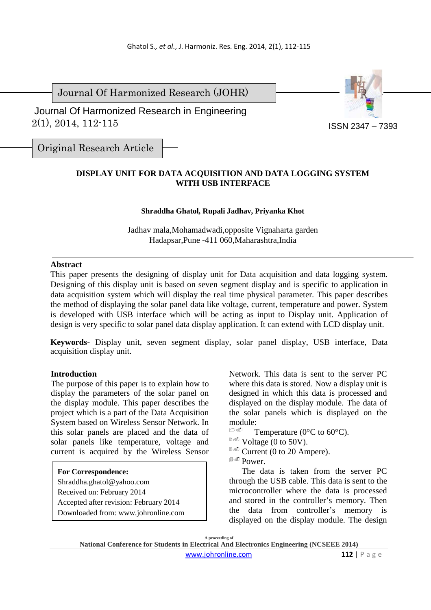Journal Of Harmonized Research (JOHR)

 2(1), 2014, 112-115 Journal Of Harmonized Research in Engineering



Original Research Article

# **DISPLAY UNIT FOR DATA ACQUISITION AND DATA LOGGING SYSTEM WITH USB INTERFACE**

### **Shraddha Ghatol, Rupali Jadhav, Priyanka Khot**

Jadhav mala,Mohamadwadi,opposite Vignaharta garden Hadapsar,Pune -411 060,Maharashtra,India

### **Abstract**

This paper presents the designing of display unit for Data acquisition and data logging system. Designing of this display unit is based on seven segment display and is specific to application in data acquisition system which will display the real time physical parameter. This paper describes the method of displaying the solar panel data like voltage, current, temperature and power. System is developed with USB interface which will be acting as input to Display unit. Application of design is very specific to solar panel data display application. It can extend with LCD display unit.

**Keywords-** Display unit, seven segment display, solar panel display, USB interface, Data acquisition display unit.

#### **Introduction**

The purpose of this paper is to explain how to display the parameters of the solar panel on the display module. This paper describes the project which is a part of the Data Acquisition System based on Wireless Sensor Network. In this solar panels are placed and the data of solar panels like temperature, voltage and current is acquired by the Wireless Sensor

#### **For Correspondence:**

Shraddha.ghatol@yahoo.com

- Received on: February 2014
- Accepted after revision: February 2014

Downloaded from: www.johronline.com

Network. This data is sent to the server PC where this data is stored. Now a display unit is designed in which this data is processed and displayed on the display module. The data of the solar panels which is displayed on the module:

- $\fbox{--}$ Temperature (0°C to 60°C).
- $^{\circledR}$  Voltage (0 to 50V).

**Current (0 to 20 Ampere).** 

<sup>■∞</sup> Power.

The data is taken from the server PC through the USB cable. This data is sent to the microcontroller where the data is processed and stored in the controller's memory. Then the data from controller's memory is displayed on the display module. The design

**A proceeding of National Conference for Students in Electrical And Electronics Engineering (NCSEEE 2014)**  www.johronline.com **112** | P a g e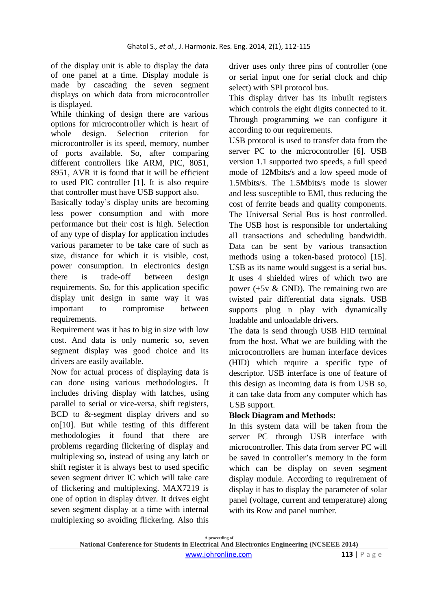of the display unit is able to display the data of one panel at a time. Display module is made by cascading the seven segment displays on which data from microcontroller is displayed.

While thinking of design there are various options for microcontroller which is heart of whole design. Selection criterion for microcontroller is its speed, memory, number of ports available. So, after comparing different controllers like ARM, PIC, 8051, 8951, AVR it is found that it will be efficient to used PIC controller [1]. It is also require that controller must have USB support also.

Basically today's display units are becoming less power consumption and with more performance but their cost is high. Selection of any type of display for application includes various parameter to be take care of such as size, distance for which it is visible, cost, power consumption. In electronics design there is trade-off between design requirements. So, for this application specific display unit design in same way it was important to compromise between requirements.

Requirement was it has to big in size with low cost. And data is only numeric so, seven segment display was good choice and its drivers are easily available.

Now for actual process of displaying data is can done using various methodologies. It includes driving display with latches, using parallel to serial or vice-versa, shift registers, BCD to &-segment display drivers and so on[10]. But while testing of this different methodologies it found that there are problems regarding flickering of display and multiplexing so, instead of using any latch or shift register it is always best to used specific seven segment driver IC which will take care of flickering and multiplexing. MAX7219 is one of option in display driver. It drives eight seven segment display at a time with internal multiplexing so avoiding flickering. Also this

driver uses only three pins of controller (one or serial input one for serial clock and chip select) with SPI protocol bus.

This display driver has its inbuilt registers which controls the eight digits connected to it. Through programming we can configure it according to our requirements.

USB protocol is used to transfer data from the server PC to the microcontroller [6]. USB version 1.1 supported two speeds, a full speed mode of 12Mbits/s and a low speed mode of 1.5Mbits/s. The 1.5Mbits/s mode is slower and less susceptible to EMI, thus reducing the cost of ferrite beads and quality components. The Universal Serial Bus is host controlled. The USB host is responsible for undertaking all transactions and scheduling bandwidth. Data can be sent by various transaction methods using a token-based protocol [15]. USB as its name would suggest is a serial bus. It uses 4 shielded wires of which two are power (+5v & GND). The remaining two are twisted pair differential data signals. USB supports plug n play with dynamically loadable and unloadable drivers.

The data is send through USB HID terminal from the host. What we are building with the microcontrollers are human interface devices (HID) which require a specific type of descriptor. USB interface is one of feature of this design as incoming data is from USB so, it can take data from any computer which has USB support.

# **Block Diagram and Methods:**

In this system data will be taken from the server PC through USB interface with microcontroller. This data from server PC will be saved in controller's memory in the form which can be display on seven segment display module. According to requirement of display it has to display the parameter of solar panel (voltage, current and temperature) along with its Row and panel number.

**A proceeding of National Conference for Students in Electrical And Electronics Engineering (NCSEEE 2014)**  www.johronline.com **113** | P a g e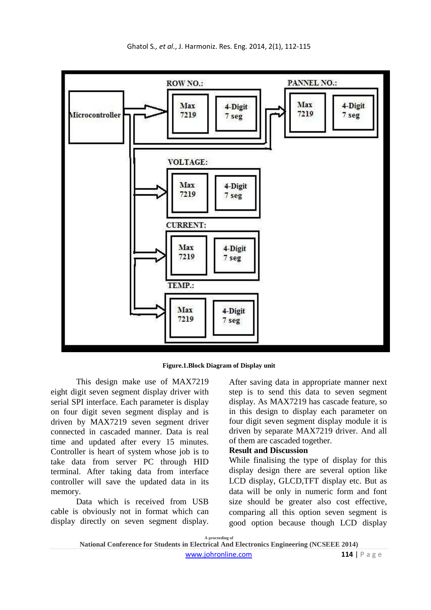

**Figure.1.Block Diagram of Display unit** 

This design make use of MAX7219 eight digit seven segment display driver with serial SPI interface. Each parameter is display on four digit seven segment display and is driven by MAX7219 seven segment driver connected in cascaded manner. Data is real time and updated after every 15 minutes. Controller is heart of system whose job is to take data from server PC through HID terminal. After taking data from interface controller will save the updated data in its memory.

Data which is received from USB cable is obviously not in format which can display directly on seven segment display.

After saving data in appropriate manner next step is to send this data to seven segment display. As MAX7219 has cascade feature, so in this design to display each parameter on four digit seven segment display module it is driven by separate MAX7219 driver. And all of them are cascaded together.

#### **Result and Discussion**

While finalising the type of display for this display design there are several option like LCD display, GLCD,TFT display etc. But as data will be only in numeric form and font size should be greater also cost effective, comparing all this option seven segment is good option because though LCD display

**A proceeding of**